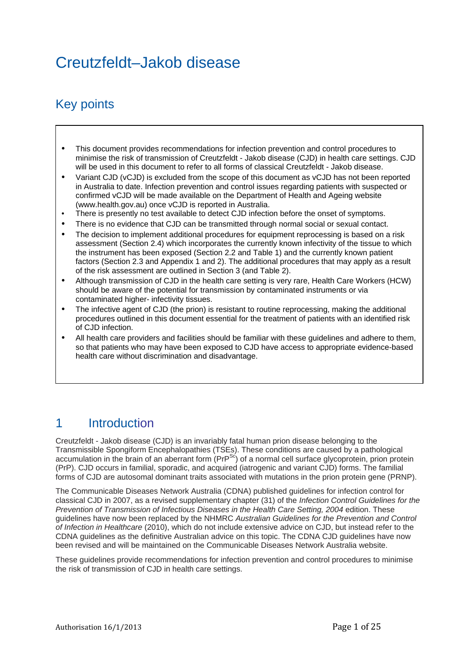# Creutzfeldt–Jakob disease

# Key points

- This document provides recommendations for infection prevention and control procedures to minimise the risk of transmission of Creutzfeldt - Jakob disease (CJD) in health care settings. CJD will be used in this document to refer to all forms of classical Creutzfeldt - Jakob disease.
- Variant CJD (vCJD) is excluded from the scope of this document as vCJD has not been reported in Australia to date. Infection prevention and control issues regarding patients with suspected or confirmed vCJD will be made available on the Department of Health and Ageing website (www.health.gov.au) once vCJD is reported in Australia.
- There is presently no test available to detect CJD infection before the onset of symptoms.
- There is no evidence that CJD can be transmitted through normal social or sexual contact.
- The decision to implement additional procedures for equipment reprocessing is based on a risk assessment (Section 2.4) which incorporates the currently known infectivity of the tissue to which the instrument has been exposed (Section 2.2 and Table 1) and the currently known patient factors (Section 2.3 and Appendix 1 and 2). The additional procedures that may apply as a result of the risk assessment are outlined in Section 3 (and Table 2).
- Although transmission of CJD in the health care setting is very rare, Health Care Workers (HCW) should be aware of the potential for transmission by contaminated instruments or via contaminated higher- infectivity tissues.
- The infective agent of CJD (the prion) is resistant to routine reprocessing, making the additional procedures outlined in this document essential for the treatment of patients with an identified risk of CJD infection.
- All health care providers and facilities should be familiar with these guidelines and adhere to them, so that patients who may have been exposed to CJD have access to appropriate evidence-based health care without discrimination and disadvantage.

## 1 Introduction

Creutzfeldt - Jakob disease (CJD) is an invariably fatal human prion disease belonging to the Transmissible Spongiform Encephalopathies (TSEs). These conditions are caused by a pathological accumulation in the brain of an aberrant form  $(PrP^{Sc})$  of a normal cell surface glycoprotein, prion protein (PrP). CJD occurs in familial, sporadic, and acquired (iatrogenic and variant CJD) forms. The familial forms of CJD are autosomal dominant traits associated with mutations in the prion protein gene (PRNP).

The Communicable Diseases Network Australia (CDNA) published guidelines for infection control for classical CJD in 2007, as a revised supplementary chapter (31) of the *Infection Control Guidelines for the Prevention of Transmission of Infectious Diseases in the Health Care Setting, 2004* edition. These guidelines have now been replaced by the NHMRC *Australian Guidelines for the Prevention and Control of Infection in Healthcare* (2010), which do not include extensive advice on CJD, but instead refer to the CDNA guidelines as the definitive Australian advice on this topic. The CDNA CJD guidelines have now been revised and will be maintained on the Communicable Diseases Network Australia website.

These guidelines provide recommendations for infection prevention and control procedures to minimise the risk of transmission of CJD in health care settings.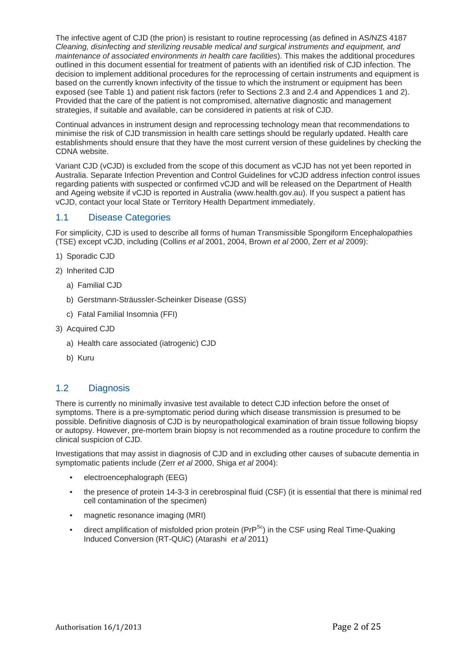The infective agent of CJD (the prion) is resistant to routine reprocessing (as defined in AS/NZS 4187 *Cleaning, disinfecting and sterilizing reusable medical and surgical instruments and equipment, and maintenance of associated environments in health care facilities*). This makes the additional procedures outlined in this document essential for treatment of patients with an identified risk of CJD infection. The decision to implement additional procedures for the reprocessing of certain instruments and equipment is based on the currently known infectivity of the tissue to which the instrument or equipment has been exposed (see Table 1) and patient risk factors (refer to Sections 2.3 and 2.4 and Appendices 1 and 2). Provided that the care of the patient is not compromised, alternative diagnostic and management strategies, if suitable and available, can be considered in patients at risk of CJD.

Continual advances in instrument design and reprocessing technology mean that recommendations to minimise the risk of CJD transmission in health care settings should be regularly updated. Health care establishments should ensure that they have the most current version of these guidelines by checking the CDNA website.

Variant CJD (vCJD) is excluded from the scope of this document as vCJD has not yet been reported in Australia. Separate Infection Prevention and Control Guidelines for vCJD address infection control issues regarding patients with suspected or confirmed vCJD and will be released on the Department of Health and Ageing website if vCJD is reported in Australia (www.health.gov.au). If you suspect a patient has vCJD, contact your local State or Territory Health Department immediately.

## 1.1 Disease Categories

For simplicity, CJD is used to describe all forms of human Transmissible Spongiform Encephalopathies (TSE) except vCJD, including (Collins *et al* 2001, 2004, Brown *et al* 2000, Zerr *et al* 2009):

- 1) Sporadic CJD
- 2) Inherited CJD
	- a) Familial CJD
	- b) Gerstmann-Sträussler-Scheinker Disease (GSS)
	- c) Fatal Familial Insomnia (FFI)
- 3) Acquired CJD
	- a) Health care associated (iatrogenic) CJD
	- b) Kuru

## 1.2 Diagnosis

There is currently no minimally invasive test available to detect CJD infection before the onset of symptoms. There is a pre-symptomatic period during which disease transmission is presumed to be possible. Definitive diagnosis of CJD is by neuropathological examination of brain tissue following biopsy or autopsy. However, pre-mortem brain biopsy is not recommended as a routine procedure to confirm the clinical suspicion of CJD.

Investigations that may assist in diagnosis of CJD and in excluding other causes of subacute dementia in symptomatic patients include (Zerr *et al* 2000, Shiga *et al* 2004):

- electroencephalograph (EEG)
- the presence of protein 14-3-3 in cerebrospinal fluid (CSF) (it is essential that there is minimal red cell contamination of the specimen)
- magnetic resonance imaging (MRI)
- direct amplification of misfolded prion protein ( $PrP^{Sc}$ ) in the CSF using Real Time-Quaking Induced Conversion (RT-QUiC) (Atarashi *et al* 2011)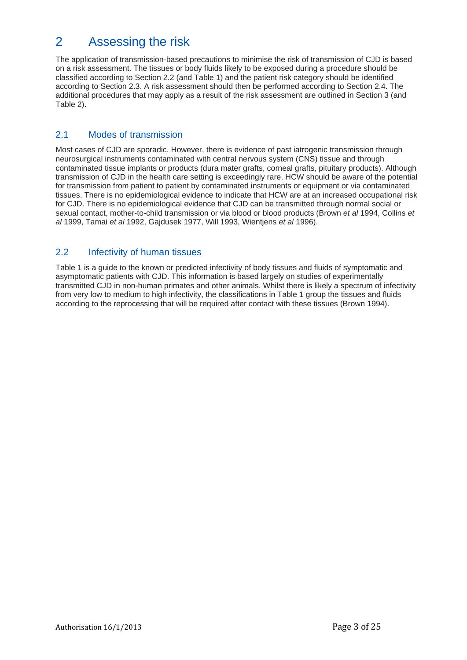## 2 Assessing the risk

The application of transmission-based precautions to minimise the risk of transmission of CJD is based on a risk assessment. The tissues or body fluids likely to be exposed during a procedure should be classified according to Section 2.2 (and Table 1) and the patient risk category should be identified according to Section 2.3. A risk assessment should then be performed according to Section 2.4. The additional procedures that may apply as a result of the risk assessment are outlined in Section 3 (and Table 2).

## 2.1 Modes of transmission

Most cases of CJD are sporadic. However, there is evidence of past iatrogenic transmission through neurosurgical instruments contaminated with central nervous system (CNS) tissue and through contaminated tissue implants or products (dura mater grafts, corneal grafts, pituitary products). Although transmission of CJD in the health care setting is exceedingly rare, HCW should be aware of the potential for transmission from patient to patient by contaminated instruments or equipment or via contaminated tissues. There is no epidemiological evidence to indicate that HCW are at an increased occupational risk for CJD. There is no epidemiological evidence that CJD can be transmitted through normal social or sexual contact, mother-to-child transmission or via blood or blood products (Brown *et al* 1994, Collins *et al* 1999, Tamai *et al* 1992, Gajdusek 1977, Will 1993, Wientjens *et al* 1996).

## 2.2 Infectivity of human tissues

Table 1 is a guide to the known or predicted infectivity of body tissues and fluids of symptomatic and asymptomatic patients with CJD. This information is based largely on studies of experimentally transmitted CJD in non-human primates and other animals. Whilst there is likely a spectrum of infectivity from very low to medium to high infectivity, the classifications in Table 1 group the tissues and fluids according to the reprocessing that will be required after contact with these tissues (Brown 1994).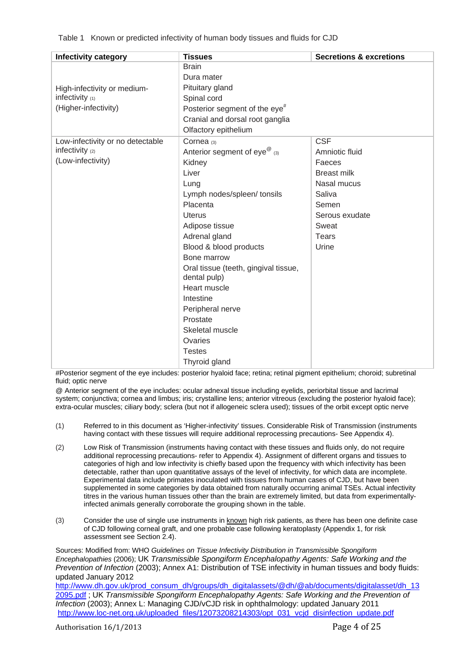Table 1 Known or predicted infectivity of human body tissues and fluids for CJD

| <b>Infectivity category</b>      | <b>Tissues</b>                            | <b>Secretions &amp; excretions</b> |  |
|----------------------------------|-------------------------------------------|------------------------------------|--|
|                                  | <b>Brain</b>                              |                                    |  |
|                                  | Dura mater                                |                                    |  |
| High-infectivity or medium-      | Pituitary gland                           |                                    |  |
| infectivity $(1)$                | Spinal cord                               |                                    |  |
| (Higher-infectivity)             | Posterior segment of the eye <sup>#</sup> |                                    |  |
|                                  | Cranial and dorsal root ganglia           |                                    |  |
|                                  | Olfactory epithelium                      |                                    |  |
| Low-infectivity or no detectable | Cornea (3)                                | <b>CSF</b>                         |  |
| infectivity (2)                  | Anterior segment of eye <sup>@</sup> (3)  | Amniotic fluid                     |  |
| (Low-infectivity)                | Kidney                                    | Faeces                             |  |
|                                  | Liver                                     | <b>Breast milk</b>                 |  |
|                                  | Lung                                      | Nasal mucus                        |  |
|                                  | Lymph nodes/spleen/ tonsils               | Saliva                             |  |
|                                  | Placenta                                  | Semen                              |  |
|                                  | <b>Uterus</b>                             | Serous exudate                     |  |
|                                  | Adipose tissue                            | Sweat                              |  |
|                                  | Adrenal gland                             | <b>Tears</b>                       |  |
|                                  | Blood & blood products                    | Urine                              |  |
|                                  | Bone marrow                               |                                    |  |
|                                  | Oral tissue (teeth, gingival tissue,      |                                    |  |
|                                  | dental pulp)                              |                                    |  |
|                                  | Heart muscle                              |                                    |  |
|                                  | Intestine                                 |                                    |  |
|                                  | Peripheral nerve                          |                                    |  |
|                                  | Prostate                                  |                                    |  |
|                                  | Skeletal muscle                           |                                    |  |
|                                  | Ovaries                                   |                                    |  |
|                                  | <b>Testes</b>                             |                                    |  |
|                                  | Thyroid gland                             |                                    |  |

#Posterior segment of the eye includes: posterior hyaloid face; retina; retinal pigment epithelium; choroid; subretinal fluid; optic nerve

@ Anterior segment of the eye includes: ocular adnexal tissue including eyelids, periorbital tissue and lacrimal system; conjunctiva; cornea and limbus; iris; crystalline lens; anterior vitreous (excluding the posterior hyaloid face); extra-ocular muscles; ciliary body; sclera (but not if allogeneic sclera used); tissues of the orbit except optic nerve

- (1) Referred to in this document as 'Higher-infectivity' tissues. Considerable Risk of Transmission (instruments having contact with these tissues will require additional reprocessing precautions- See Appendix 4).
- (2) Low Risk of Transmission (instruments having contact with these tissues and fluids only, do not require additional reprocessing precautions- refer to Appendix 4). Assignment of different organs and tissues to categories of high and low infectivity is chiefly based upon the frequency with which infectivity has been detectable, rather than upon quantitative assays of the level of infectivity, for which data are incomplete. Experimental data include primates inoculated with tissues from human cases of CJD, but have been supplemented in some categories by data obtained from naturally occurring animal TSEs. Actual infectivity titres in the various human tissues other than the brain are extremely limited, but data from experimentallyinfected animals generally corroborate the grouping shown in the table.
- (3) Consider the use of single use instruments in known high risk patients, as there has been one definite case of CJD following corneal graft, and one probable case following keratoplasty (Appendix 1, for risk assessment see Section 2.4).

Sources: Modified from: WHO *Guidelines on Tissue Infectivity Distribution in Transmissible Spongiform Encephalopathies* (2006); UK *Transmissible Spongiform Encephalopathy Agents: Safe Working and the Prevention of Infection* (2003); Annex A1: Distribution of TSE infectivity in human tissues and body fluids: updated January 2012 http://www.dh.gov.uk/prod\_consum\_dh/groups/dh\_digitalassets/@dh/@ab/documents/digitalasset/dh\_13

2095.pdf ; UK *Transmissible Spongiform Encephalopathy Agents: Safe Working and the Prevention of Infection* (2003); Annex L: Managing CJD/vCJD risk in ophthalmology: updated January 2011 http://www.loc-net.org.uk/uploaded\_files/12073208214303/opt\_031\_vcjd\_disinfection\_update.pdf

Authorisation 16/1/2013 **Department Control** Page 4 of 25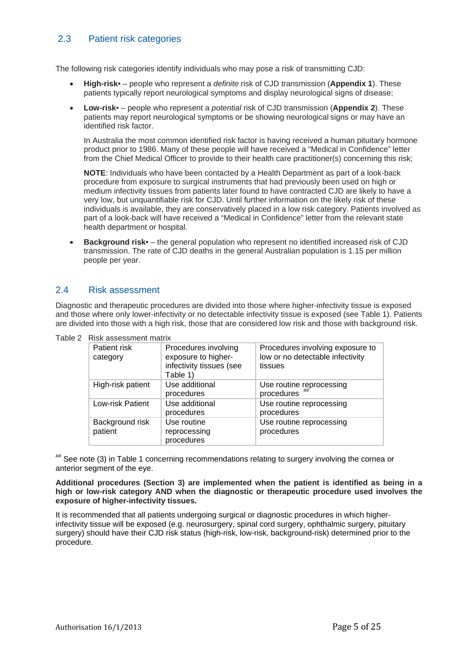## 2.3 Patient risk categories

The following risk categories identify individuals who may pose a risk of transmitting CJD:

- **High-risk** – people who represent a *definite* risk of CJD transmission (**Appendix 1**). These patients typically report neurological symptoms and display neurological signs of disease;
- **Low-risk** – people who represent a *potential* risk of CJD transmission (**Appendix 2**). These patients may report neurological symptoms or be showing neurological signs or may have an identified risk factor.

In Australia the most common identified risk factor is having received a human pituitary hormone product prior to 1986. Many of these people will have received a "Medical in Confidence" letter from the Chief Medical Officer to provide to their health care practitioner(s) concerning this risk;

**NOTE**: Individuals who have been contacted by a Health Department as part of a look-back procedure from exposure to surgical instruments that had previously been used on high or medium infectivity tissues from patients later found to have contracted CJD are likely to have a very low, but unquantifiable risk for CJD. Until further information on the likely risk of these individuals is available, they are conservatively placed in a low risk category. Patients involved as part of a look-back will have received a "Medical in Confidence" letter from the relevant state health department or hospital.

 **Background risk**• – the general population who represent no identified increased risk of CJD transmission. The rate of CJD deaths in the general Australian population is 1.15 per million people per year.

### 2.4 Risk assessment

Diagnostic and therapeutic procedures are divided into those where higher-infectivity tissue is exposed and those where only lower-infectivity or no detectable infectivity tissue is exposed (see Table 1). Patients are divided into those with a high risk, those that are considered low risk and those with background risk.

| ттак азэсээнгэн ташл       |                                                                                     |                                                                                 |  |  |
|----------------------------|-------------------------------------------------------------------------------------|---------------------------------------------------------------------------------|--|--|
| Patient risk<br>category   | Procedures involving<br>exposure to higher-<br>infectivity tissues (see<br>Table 1) | Procedures involving exposure to<br>low or no detectable infectivity<br>tissues |  |  |
| High-risk patient          | Use additional<br>procedures                                                        | Use routine reprocessing<br>procedures                                          |  |  |
| Low-risk Patient           | Use additional<br>procedures                                                        | Use routine reprocessing<br>procedures                                          |  |  |
| Background risk<br>patient | Use routine<br>reprocessing<br>procedures                                           | Use routine reprocessing<br>procedures                                          |  |  |

Table 2 Risk assessment matrix

## See note (3) in Table 1 concerning recommendations relating to surgery involving the cornea or anterior segment of the eye.

#### **Additional procedures (Section 3) are implemented when the patient is identified as being in a high or low-risk category AND when the diagnostic or therapeutic procedure used involves the exposure of higher-infectivity tissues.**

It is recommended that all patients undergoing surgical or diagnostic procedures in which higherinfectivity tissue will be exposed (e.g. neurosurgery, spinal cord surgery, ophthalmic surgery, pituitary surgery) should have their CJD risk status (high-risk, low-risk, background-risk) determined prior to the procedure.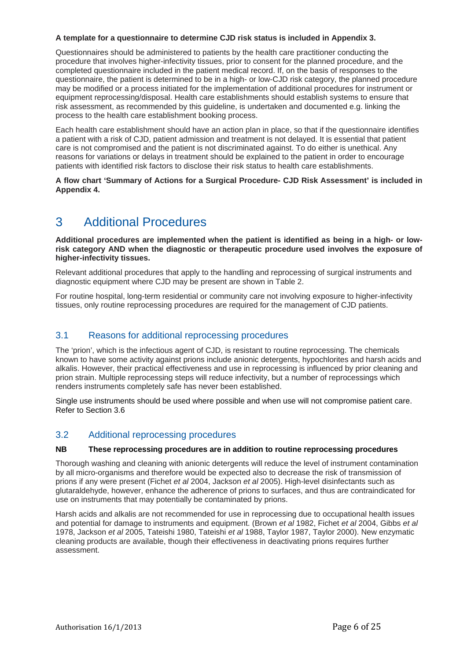#### **A template for a questionnaire to determine CJD risk status is included in Appendix 3.**

Questionnaires should be administered to patients by the health care practitioner conducting the procedure that involves higher-infectivity tissues, prior to consent for the planned procedure, and the completed questionnaire included in the patient medical record. If, on the basis of responses to the questionnaire, the patient is determined to be in a high- or low-CJD risk category, the planned procedure may be modified or a process initiated for the implementation of additional procedures for instrument or equipment reprocessing/disposal. Health care establishments should establish systems to ensure that risk assessment, as recommended by this guideline, is undertaken and documented e.g. linking the process to the health care establishment booking process.

Each health care establishment should have an action plan in place, so that if the questionnaire identifies a patient with a risk of CJD, patient admission and treatment is not delayed. It is essential that patient care is not compromised and the patient is not discriminated against. To do either is unethical. Any reasons for variations or delays in treatment should be explained to the patient in order to encourage patients with identified risk factors to disclose their risk status to health care establishments.

**A flow chart 'Summary of Actions for a Surgical Procedure- CJD Risk Assessment' is included in Appendix 4.** 

## 3 Additional Procedures

**Additional procedures are implemented when the patient is identified as being in a high- or lowrisk category AND when the diagnostic or therapeutic procedure used involves the exposure of higher-infectivity tissues.**

Relevant additional procedures that apply to the handling and reprocessing of surgical instruments and diagnostic equipment where CJD may be present are shown in Table 2.

For routine hospital, long-term residential or community care not involving exposure to higher-infectivity tissues, only routine reprocessing procedures are required for the management of CJD patients.

## 3.1 Reasons for additional reprocessing procedures

The 'prion', which is the infectious agent of CJD, is resistant to routine reprocessing. The chemicals known to have some activity against prions include anionic detergents, hypochlorites and harsh acids and alkalis. However, their practical effectiveness and use in reprocessing is influenced by prior cleaning and prion strain. Multiple reprocessing steps will reduce infectivity, but a number of reprocessings which renders instruments completely safe has never been established.

Single use instruments should be used where possible and when use will not compromise patient care. Refer to Section 3.6

## 3.2 Additional reprocessing procedures

#### **NB These reprocessing procedures are in addition to routine reprocessing procedures**

Thorough washing and cleaning with anionic detergents will reduce the level of instrument contamination by all micro-organisms and therefore would be expected also to decrease the risk of transmission of prions if any were present (Fichet *et al* 2004, Jackson *et al* 2005). High-level disinfectants such as glutaraldehyde, however, enhance the adherence of prions to surfaces, and thus are contraindicated for use on instruments that may potentially be contaminated by prions.

Harsh acids and alkalis are not recommended for use in reprocessing due to occupational health issues and potential for damage to instruments and equipment. (Brown *et al* 1982, Fichet *et al* 2004, Gibbs *et al* 1978, Jackson *et al* 2005, Tateishi 1980, Tateishi *et al* 1988, Taylor 1987, Taylor 2000). New enzymatic cleaning products are available, though their effectiveness in deactivating prions requires further assessment.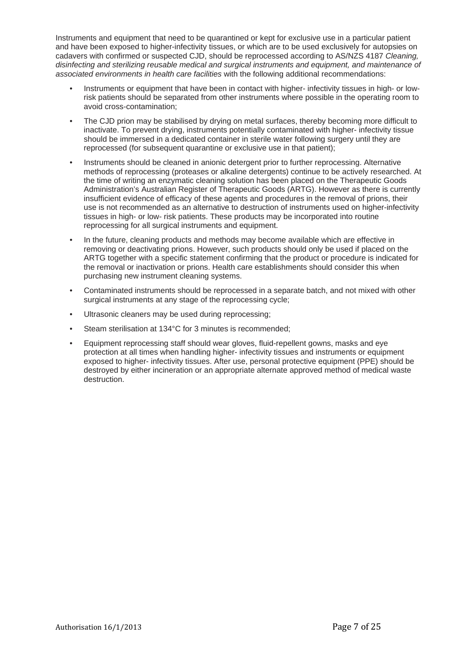Instruments and equipment that need to be quarantined or kept for exclusive use in a particular patient and have been exposed to higher-infectivity tissues, or which are to be used exclusively for autopsies on cadavers with confirmed or suspected CJD, should be reprocessed according to AS/NZS 4187 *Cleaning, disinfecting and sterilizing reusable medical and surgical instruments and equipment, and maintenance of associated environments in health care facilities* with the following additional recommendations:

- Instruments or equipment that have been in contact with higher- infectivity tissues in high- or lowrisk patients should be separated from other instruments where possible in the operating room to avoid cross-contamination;
- The CJD prion may be stabilised by drying on metal surfaces, thereby becoming more difficult to inactivate. To prevent drying, instruments potentially contaminated with higher- infectivity tissue should be immersed in a dedicated container in sterile water following surgery until they are reprocessed (for subsequent quarantine or exclusive use in that patient):
- Instruments should be cleaned in anionic detergent prior to further reprocessing. Alternative methods of reprocessing (proteases or alkaline detergents) continue to be actively researched. At the time of writing an enzymatic cleaning solution has been placed on the Therapeutic Goods Administration's Australian Register of Therapeutic Goods (ARTG). However as there is currently insufficient evidence of efficacy of these agents and procedures in the removal of prions, their use is not recommended as an alternative to destruction of instruments used on higher-infectivity tissues in high- or low- risk patients. These products may be incorporated into routine reprocessing for all surgical instruments and equipment.
- In the future, cleaning products and methods may become available which are effective in removing or deactivating prions. However, such products should only be used if placed on the ARTG together with a specific statement confirming that the product or procedure is indicated for the removal or inactivation or prions. Health care establishments should consider this when purchasing new instrument cleaning systems.
- Contaminated instruments should be reprocessed in a separate batch, and not mixed with other surgical instruments at any stage of the reprocessing cycle;
- Ultrasonic cleaners may be used during reprocessing;
- Steam sterilisation at 134°C for 3 minutes is recommended;
- Equipment reprocessing staff should wear gloves, fluid-repellent gowns, masks and eye protection at all times when handling higher- infectivity tissues and instruments or equipment exposed to higher- infectivity tissues. After use, personal protective equipment (PPE) should be destroyed by either incineration or an appropriate alternate approved method of medical waste destruction.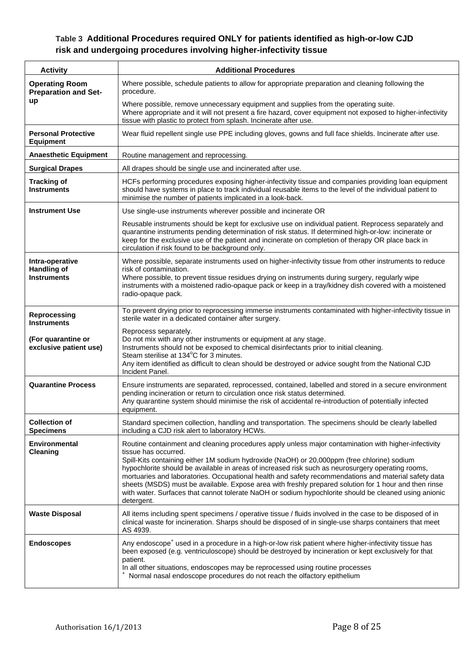## **Table 3 Additional Procedures required ONLY for patients identified as high-or-low CJD risk and undergoing procedures involving higher-infectivity tissue**

| <b>Activity</b>                                             | <b>Additional Procedures</b>                                                                                                                                                                                                                                                                                                                                                                                                                                                                                                                                                                                                                                             |  |
|-------------------------------------------------------------|--------------------------------------------------------------------------------------------------------------------------------------------------------------------------------------------------------------------------------------------------------------------------------------------------------------------------------------------------------------------------------------------------------------------------------------------------------------------------------------------------------------------------------------------------------------------------------------------------------------------------------------------------------------------------|--|
| <b>Operating Room</b><br><b>Preparation and Set-</b>        | Where possible, schedule patients to allow for appropriate preparation and cleaning following the<br>procedure.                                                                                                                                                                                                                                                                                                                                                                                                                                                                                                                                                          |  |
| up                                                          | Where possible, remove unnecessary equipment and supplies from the operating suite.<br>Where appropriate and it will not present a fire hazard, cover equipment not exposed to higher-infectivity<br>tissue with plastic to protect from splash. Incinerate after use.                                                                                                                                                                                                                                                                                                                                                                                                   |  |
| <b>Personal Protective</b><br><b>Equipment</b>              | Wear fluid repellent single use PPE including gloves, gowns and full face shields. Incinerate after use.                                                                                                                                                                                                                                                                                                                                                                                                                                                                                                                                                                 |  |
| <b>Anaesthetic Equipment</b>                                | Routine management and reprocessing.                                                                                                                                                                                                                                                                                                                                                                                                                                                                                                                                                                                                                                     |  |
| <b>Surgical Drapes</b>                                      | All drapes should be single use and incinerated after use.                                                                                                                                                                                                                                                                                                                                                                                                                                                                                                                                                                                                               |  |
| <b>Tracking of</b><br><b>Instruments</b>                    | HCFs performing procedures exposing higher-infectivity tissue and companies providing loan equipment<br>should have systems in place to track individual reusable items to the level of the individual patient to<br>minimise the number of patients implicated in a look-back.                                                                                                                                                                                                                                                                                                                                                                                          |  |
| <b>Instrument Use</b>                                       | Use single-use instruments wherever possible and incinerate OR                                                                                                                                                                                                                                                                                                                                                                                                                                                                                                                                                                                                           |  |
|                                                             | Reusable instruments should be kept for exclusive use on individual patient. Reprocess separately and<br>quarantine instruments pending determination of risk status. If determined high-or-low: incinerate or<br>keep for the exclusive use of the patient and incinerate on completion of therapy OR place back in<br>circulation if risk found to be background only.                                                                                                                                                                                                                                                                                                 |  |
| Intra-operative<br><b>Handling of</b><br><b>Instruments</b> | Where possible, separate instruments used on higher-infectivity tissue from other instruments to reduce<br>risk of contamination.<br>Where possible, to prevent tissue residues drying on instruments during surgery, regularly wipe<br>instruments with a moistened radio-opaque pack or keep in a tray/kidney dish covered with a moistened<br>radio-opaque pack.                                                                                                                                                                                                                                                                                                      |  |
| Reprocessing<br><b>Instruments</b>                          | To prevent drying prior to reprocessing immerse instruments contaminated with higher-infectivity tissue in<br>sterile water in a dedicated container after surgery.                                                                                                                                                                                                                                                                                                                                                                                                                                                                                                      |  |
| (For quarantine or<br>exclusive patient use)                | Reprocess separately.<br>Do not mix with any other instruments or equipment at any stage.<br>Instruments should not be exposed to chemical disinfectants prior to initial cleaning.<br>Steam sterilise at 134°C for 3 minutes.<br>Any item identified as difficult to clean should be destroyed or advice sought from the National CJD<br>Incident Panel.                                                                                                                                                                                                                                                                                                                |  |
| <b>Quarantine Process</b>                                   | Ensure instruments are separated, reprocessed, contained, labelled and stored in a secure environment<br>pending incineration or return to circulation once risk status determined.<br>Any quarantine system should minimise the risk of accidental re-introduction of potentially infected<br>equipment.                                                                                                                                                                                                                                                                                                                                                                |  |
| <b>Collection of</b><br><b>Specimens</b>                    | Standard specimen collection, handling and transportation. The specimens should be clearly labelled<br>including a CJD risk alert to laboratory HCWs.                                                                                                                                                                                                                                                                                                                                                                                                                                                                                                                    |  |
| <b>Environmental</b><br><b>Cleaning</b>                     | Routine containment and cleaning procedures apply unless major contamination with higher-infectivity<br>tissue has occurred.<br>Spill-Kits containing either 1M sodium hydroxide (NaOH) or 20,000ppm (free chlorine) sodium<br>hypochlorite should be available in areas of increased risk such as neurosurgery operating rooms,<br>mortuaries and laboratories. Occupational health and safety recommendations and material safety data<br>sheets (MSDS) must be available. Expose area with freshly prepared solution for 1 hour and then rinse<br>with water. Surfaces that cannot tolerate NaOH or sodium hypochlorite should be cleaned using anionic<br>detergent. |  |
| <b>Waste Disposal</b>                                       | All items including spent specimens / operative tissue / fluids involved in the case to be disposed of in<br>clinical waste for incineration. Sharps should be disposed of in single-use sharps containers that meet<br>AS 4939.                                                                                                                                                                                                                                                                                                                                                                                                                                         |  |
| <b>Endoscopes</b>                                           | Any endoscope <sup>+</sup> used in a procedure in a high-or-low risk patient where higher-infectivity tissue has<br>been exposed (e.g. ventriculoscope) should be destroyed by incineration or kept exclusively for that<br>patient.<br>In all other situations, endoscopes may be reprocessed using routine processes<br>Normal nasal endoscope procedures do not reach the olfactory epithelium                                                                                                                                                                                                                                                                        |  |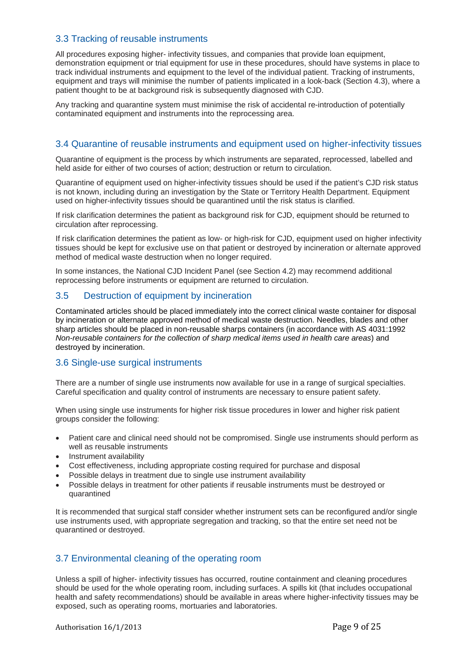## 3.3 Tracking of reusable instruments

All procedures exposing higher- infectivity tissues, and companies that provide loan equipment, demonstration equipment or trial equipment for use in these procedures, should have systems in place to track individual instruments and equipment to the level of the individual patient. Tracking of instruments, equipment and trays will minimise the number of patients implicated in a look-back (Section 4.3), where a patient thought to be at background risk is subsequently diagnosed with CJD.

Any tracking and quarantine system must minimise the risk of accidental re-introduction of potentially contaminated equipment and instruments into the reprocessing area.

## 3.4 Quarantine of reusable instruments and equipment used on higher-infectivity tissues

Quarantine of equipment is the process by which instruments are separated, reprocessed, labelled and held aside for either of two courses of action; destruction or return to circulation.

Quarantine of equipment used on higher-infectivity tissues should be used if the patient's CJD risk status is not known, including during an investigation by the State or Territory Health Department. Equipment used on higher-infectivity tissues should be quarantined until the risk status is clarified.

If risk clarification determines the patient as background risk for CJD, equipment should be returned to circulation after reprocessing.

If risk clarification determines the patient as low- or high-risk for CJD, equipment used on higher infectivity tissues should be kept for exclusive use on that patient or destroyed by incineration or alternate approved method of medical waste destruction when no longer required.

In some instances, the National CJD Incident Panel (see Section 4.2) may recommend additional reprocessing before instruments or equipment are returned to circulation.

### 3.5 Destruction of equipment by incineration

Contaminated articles should be placed immediately into the correct clinical waste container for disposal by incineration or alternate approved method of medical waste destruction. Needles, blades and other sharp articles should be placed in non-reusable sharps containers (in accordance with AS 4031:1992 *Non-reusable containers for the collection of sharp medical items used in health care areas*) and destroyed by incineration.

### 3.6 Single-use surgical instruments

There are a number of single use instruments now available for use in a range of surgical specialties. Careful specification and quality control of instruments are necessary to ensure patient safety.

When using single use instruments for higher risk tissue procedures in lower and higher risk patient groups consider the following:

- Patient care and clinical need should not be compromised. Single use instruments should perform as well as reusable instruments
- Instrument availability
- Cost effectiveness, including appropriate costing required for purchase and disposal
- Possible delays in treatment due to single use instrument availability
- Possible delays in treatment for other patients if reusable instruments must be destroyed or quarantined

It is recommended that surgical staff consider whether instrument sets can be reconfigured and/or single use instruments used, with appropriate segregation and tracking, so that the entire set need not be quarantined or destroyed.

### 3.7 Environmental cleaning of the operating room

Unless a spill of higher- infectivity tissues has occurred, routine containment and cleaning procedures should be used for the whole operating room, including surfaces. A spills kit (that includes occupational health and safety recommendations) should be available in areas where higher-infectivity tissues may be exposed, such as operating rooms, mortuaries and laboratories.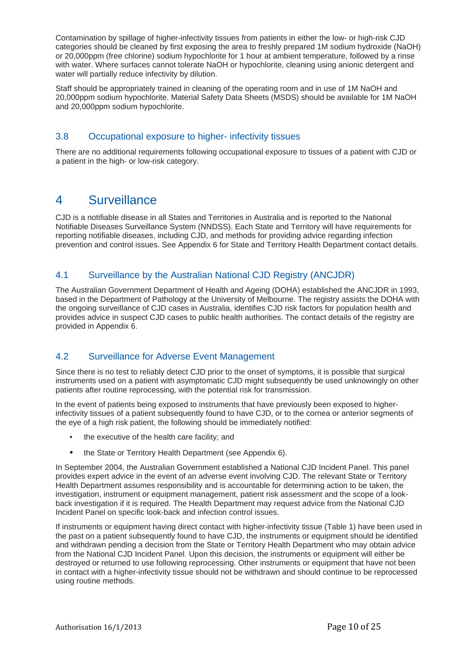Contamination by spillage of higher-infectivity tissues from patients in either the low- or high-risk CJD categories should be cleaned by first exposing the area to freshly prepared 1M sodium hydroxide (NaOH) or 20,000ppm (free chlorine) sodium hypochlorite for 1 hour at ambient temperature, followed by a rinse with water. Where surfaces cannot tolerate NaOH or hypochlorite, cleaning using anionic detergent and water will partially reduce infectivity by dilution.

Staff should be appropriately trained in cleaning of the operating room and in use of 1M NaOH and 20,000ppm sodium hypochlorite. Material Safety Data Sheets (MSDS) should be available for 1M NaOH and 20,000ppm sodium hypochlorite.

## 3.8 Occupational exposure to higher- infectivity tissues

There are no additional requirements following occupational exposure to tissues of a patient with CJD or a patient in the high- or low-risk category.

## 4 Surveillance

CJD is a notifiable disease in all States and Territories in Australia and is reported to the National Notifiable Diseases Surveillance System (NNDSS). Each State and Territory will have requirements for reporting notifiable diseases, including CJD, and methods for providing advice regarding infection prevention and control issues. See Appendix 6 for State and Territory Health Department contact details.

## 4.1 Surveillance by the Australian National CJD Registry (ANCJDR)

The Australian Government Department of Health and Ageing (DOHA) established the ANCJDR in 1993, based in the Department of Pathology at the University of Melbourne. The registry assists the DOHA with the ongoing surveillance of CJD cases in Australia, identifies CJD risk factors for population health and provides advice in suspect CJD cases to public health authorities. The contact details of the registry are provided in Appendix 6.

## 4.2 Surveillance for Adverse Event Management

Since there is no test to reliably detect CJD prior to the onset of symptoms, it is possible that surgical instruments used on a patient with asymptomatic CJD might subsequently be used unknowingly on other patients after routine reprocessing, with the potential risk for transmission.

In the event of patients being exposed to instruments that have previously been exposed to higherinfectivity tissues of a patient subsequently found to have CJD, or to the cornea or anterior segments of the eye of a high risk patient, the following should be immediately notified:

- the executive of the health care facility; and
- the State or Territory Health Department (see Appendix 6).

In September 2004, the Australian Government established a National CJD Incident Panel. This panel provides expert advice in the event of an adverse event involving CJD. The relevant State or Territory Health Department assumes responsibility and is accountable for determining action to be taken, the investigation, instrument or equipment management, patient risk assessment and the scope of a lookback investigation if it is required. The Health Department may request advice from the National CJD Incident Panel on specific look-back and infection control issues.

If instruments or equipment having direct contact with higher-infectivity tissue (Table 1) have been used in the past on a patient subsequently found to have CJD, the instruments or equipment should be identified and withdrawn pending a decision from the State or Territory Health Department who may obtain advice from the National CJD Incident Panel. Upon this decision, the instruments or equipment will either be destroyed or returned to use following reprocessing. Other instruments or equipment that have not been in contact with a higher-infectivity tissue should not be withdrawn and should continue to be reprocessed using routine methods.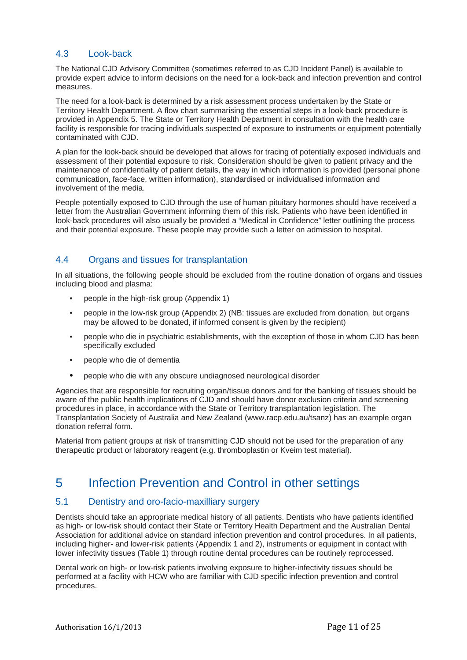## 4.3 Look-back

The National CJD Advisory Committee (sometimes referred to as CJD Incident Panel) is available to provide expert advice to inform decisions on the need for a look-back and infection prevention and control measures.

The need for a look-back is determined by a risk assessment process undertaken by the State or Territory Health Department. A flow chart summarising the essential steps in a look-back procedure is provided in Appendix 5. The State or Territory Health Department in consultation with the health care facility is responsible for tracing individuals suspected of exposure to instruments or equipment potentially contaminated with CJD.

A plan for the look-back should be developed that allows for tracing of potentially exposed individuals and assessment of their potential exposure to risk. Consideration should be given to patient privacy and the maintenance of confidentiality of patient details, the way in which information is provided (personal phone communication, face-face, written information), standardised or individualised information and involvement of the media.

People potentially exposed to CJD through the use of human pituitary hormones should have received a letter from the Australian Government informing them of this risk. Patients who have been identified in look-back procedures will also usually be provided a "Medical in Confidence" letter outlining the process and their potential exposure. These people may provide such a letter on admission to hospital.

## 4.4 Organs and tissues for transplantation

In all situations, the following people should be excluded from the routine donation of organs and tissues including blood and plasma:

- people in the high-risk group (Appendix 1)
- people in the low-risk group (Appendix 2) (NB: tissues are excluded from donation, but organs may be allowed to be donated, if informed consent is given by the recipient)
- people who die in psychiatric establishments, with the exception of those in whom CJD has been specifically excluded
- people who die of dementia
- people who die with any obscure undiagnosed neurological disorder

Agencies that are responsible for recruiting organ/tissue donors and for the banking of tissues should be aware of the public health implications of CJD and should have donor exclusion criteria and screening procedures in place, in accordance with the State or Territory transplantation legislation. The Transplantation Society of Australia and New Zealand (www.racp.edu.au/tsanz) has an example organ donation referral form.

Material from patient groups at risk of transmitting CJD should not be used for the preparation of any therapeutic product or laboratory reagent (e.g. thromboplastin or Kveim test material).

## 5 Infection Prevention and Control in other settings

### 5.1 Dentistry and oro-facio-maxilliary surgery

Dentists should take an appropriate medical history of all patients. Dentists who have patients identified as high- or low-risk should contact their State or Territory Health Department and the Australian Dental Association for additional advice on standard infection prevention and control procedures. In all patients, including higher- and lower-risk patients (Appendix 1 and 2), instruments or equipment in contact with lower infectivity tissues (Table 1) through routine dental procedures can be routinely reprocessed.

Dental work on high- or low-risk patients involving exposure to higher-infectivity tissues should be performed at a facility with HCW who are familiar with CJD specific infection prevention and control procedures.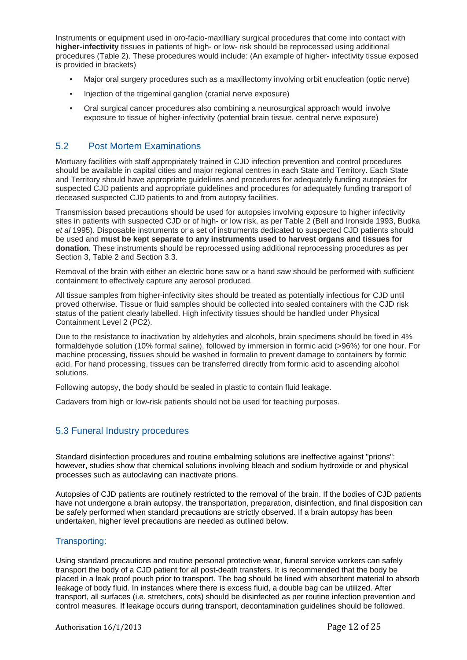Instruments or equipment used in oro-facio-maxilliary surgical procedures that come into contact with **higher-infectivity** tissues in patients of high- or low- risk should be reprocessed using additional procedures (Table 2). These procedures would include: (An example of higher- infectivity tissue exposed is provided in brackets)

- Major oral surgery procedures such as a maxillectomy involving orbit enucleation (optic nerve)
- Injection of the trigeminal ganglion (cranial nerve exposure)
- Oral surgical cancer procedures also combining a neurosurgical approach would involve exposure to tissue of higher-infectivity (potential brain tissue, central nerve exposure)

## 5.2 Post Mortem Examinations

Mortuary facilities with staff appropriately trained in CJD infection prevention and control procedures should be available in capital cities and major regional centres in each State and Territory. Each State and Territory should have appropriate guidelines and procedures for adequately funding autopsies for suspected CJD patients and appropriate guidelines and procedures for adequately funding transport of deceased suspected CJD patients to and from autopsy facilities.

Transmission based precautions should be used for autopsies involving exposure to higher infectivity sites in patients with suspected CJD or of high- or low risk, as per Table 2 (Bell and Ironside 1993, Budka *et al* 1995). Disposable instruments or a set of instruments dedicated to suspected CJD patients should be used and **must be kept separate to any instruments used to harvest organs and tissues for donation**. These instruments should be reprocessed using additional reprocessing procedures as per Section 3, Table 2 and Section 3.3.

Removal of the brain with either an electric bone saw or a hand saw should be performed with sufficient containment to effectively capture any aerosol produced.

All tissue samples from higher-infectivity sites should be treated as potentially infectious for CJD until proved otherwise. Tissue or fluid samples should be collected into sealed containers with the CJD risk status of the patient clearly labelled. High infectivity tissues should be handled under Physical Containment Level 2 (PC2).

Due to the resistance to inactivation by aldehydes and alcohols, brain specimens should be fixed in 4% formaldehyde solution (10% formal saline), followed by immersion in formic acid (>96%) for one hour. For machine processing, tissues should be washed in formalin to prevent damage to containers by formic acid. For hand processing, tissues can be transferred directly from formic acid to ascending alcohol solutions.

Following autopsy, the body should be sealed in plastic to contain fluid leakage.

Cadavers from high or low-risk patients should not be used for teaching purposes.

## 5.3 Funeral Industry procedures

Standard disinfection procedures and routine embalming solutions are ineffective against "prions": however, studies show that chemical solutions involving bleach and sodium hydroxide or and physical processes such as autoclaving can inactivate prions.

Autopsies of CJD patients are routinely restricted to the removal of the brain. If the bodies of CJD patients have not undergone a brain autopsy, the transportation, preparation, disinfection, and final disposition can be safely performed when standard precautions are strictly observed. If a brain autopsy has been undertaken, higher level precautions are needed as outlined below.

### Transporting:

Using standard precautions and routine personal protective wear, funeral service workers can safely transport the body of a CJD patient for all post-death transfers. It is recommended that the body be placed in a leak proof pouch prior to transport. The bag should be lined with absorbent material to absorb leakage of body fluid. In instances where there is excess fluid, a double bag can be utilized. After transport, all surfaces (i.e. stretchers, cots) should be disinfected as per routine infection prevention and control measures. If leakage occurs during transport, decontamination guidelines should be followed.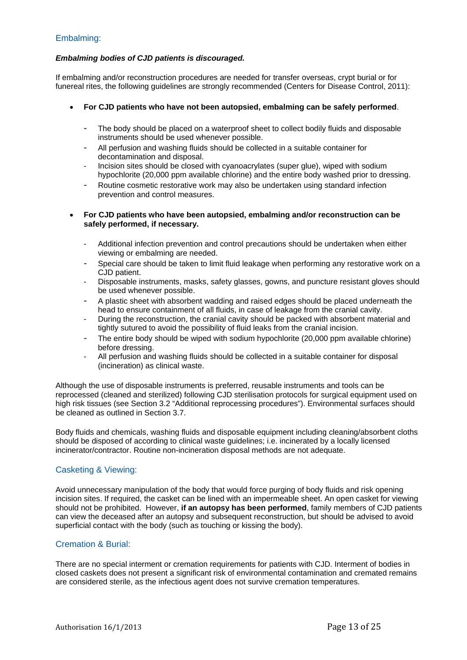### Embalming:

#### *Embalming bodies of CJD patients is discouraged.*

If embalming and/or reconstruction procedures are needed for transfer overseas, crypt burial or for funereal rites, the following guidelines are strongly recommended (Centers for Disease Control, 2011):

- **For CJD patients who have not been autopsied, embalming can be safely performed**.
	- The body should be placed on a waterproof sheet to collect bodily fluids and disposable instruments should be used whenever possible.
	- All perfusion and washing fluids should be collected in a suitable container for decontamination and disposal.
	- Incision sites should be closed with cyanoacrylates (super glue), wiped with sodium hypochlorite (20,000 ppm available chlorine) and the entire body washed prior to dressing.
	- Routine cosmetic restorative work may also be undertaken using standard infection prevention and control measures.

#### **For CJD patients who have been autopsied, embalming and/or reconstruction can be safely performed, if necessary.**

- Additional infection prevention and control precautions should be undertaken when either viewing or embalming are needed.
- Special care should be taken to limit fluid leakage when performing any restorative work on a CJD patient.
- Disposable instruments, masks, safety glasses, gowns, and puncture resistant gloves should be used whenever possible.
- A plastic sheet with absorbent wadding and raised edges should be placed underneath the head to ensure containment of all fluids, in case of leakage from the cranial cavity.
- During the reconstruction, the cranial cavity should be packed with absorbent material and tightly sutured to avoid the possibility of fluid leaks from the cranial incision.
- The entire body should be wiped with sodium hypochlorite (20,000 ppm available chlorine) before dressing.
- All perfusion and washing fluids should be collected in a suitable container for disposal (incineration) as clinical waste.

Although the use of disposable instruments is preferred, reusable instruments and tools can be reprocessed (cleaned and sterilized) following CJD sterilisation protocols for surgical equipment used on high risk tissues (see Section 3.2 "Additional reprocessing procedures"). Environmental surfaces should be cleaned as outlined in Section 3.7.

Body fluids and chemicals, washing fluids and disposable equipment including cleaning/absorbent cloths should be disposed of according to clinical waste guidelines; i.e. incinerated by a locally licensed incinerator/contractor. Routine non-incineration disposal methods are not adequate.

### Casketing & Viewing:

Avoid unnecessary manipulation of the body that would force purging of body fluids and risk opening incision sites. If required, the casket can be lined with an impermeable sheet. An open casket for viewing should not be prohibited. However, **if an autopsy has been performed**, family members of CJD patients can view the deceased after an autopsy and subsequent reconstruction, but should be advised to avoid superficial contact with the body (such as touching or kissing the body).

### Cremation & Burial:

There are no special interment or cremation requirements for patients with CJD. Interment of bodies in closed caskets does not present a significant risk of environmental contamination and cremated remains are considered sterile, as the infectious agent does not survive cremation temperatures.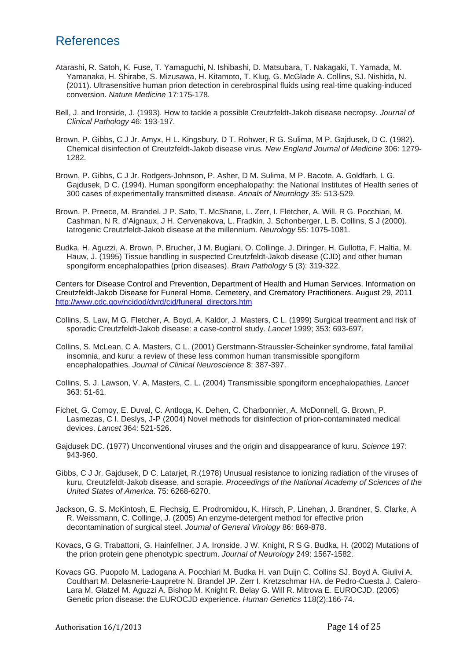## References

- Atarashi, R. Satoh, K. Fuse, T. Yamaguchi, N. Ishibashi, D. Matsubara, T. Nakagaki, T. Yamada, M. Yamanaka, H. Shirabe, S. Mizusawa, H. Kitamoto, T. Klug, G. McGlade A. Collins, SJ. Nishida, N. (2011). Ultrasensitive human prion detection in cerebrospinal fluids using real-time quaking-induced conversion. *Nature Medicine* 17:175-178.
- Bell, J. and Ironside, J. (1993). How to tackle a possible Creutzfeldt-Jakob disease necropsy. *Journal of Clinical Pathology* 46: 193-197.
- Brown, P. Gibbs, C J Jr. Amyx, H L. Kingsbury, D T. Rohwer, R G. Sulima, M P. Gajdusek, D C. (1982). Chemical disinfection of Creutzfeldt-Jakob disease virus. *New England Journal of Medicine* 306: 1279- 1282.
- Brown, P. Gibbs, C J Jr. Rodgers-Johnson, P. Asher, D M. Sulima, M P. Bacote, A. Goldfarb, L G. Gajdusek, D C. (1994). Human spongiform encephalopathy: the National Institutes of Health series of 300 cases of experimentally transmitted disease. *Annals of Neurology* 35: 513-529.
- Brown, P. Preece, M. Brandel, J P. Sato, T. McShane, L. Zerr, I. Fletcher, A. Will, R G. Pocchiari, M. Cashman, N R. d'Aignaux, J H. Cervenakova, L. Fradkin, J. Schonberger, L B. Collins, S J (2000). Iatrogenic Creutzfeldt-Jakob disease at the millennium. *Neurology* 55: 1075-1081.
- Budka, H. Aguzzi, A. Brown, P. Brucher, J M. Bugiani, O. Collinge, J. Diringer, H. Gullotta, F. Haltia, M. Hauw, J. (1995) Tissue handling in suspected Creutzfeldt-Jakob disease (CJD) and other human spongiform encephalopathies (prion diseases). *Brain Pathology* 5 (3): 319-322.

Centers for Disease Control and Prevention, Department of Health and Human Services. Information on Creutzfeldt-Jakob Disease for Funeral Home, Cemetery, and Crematory Practitioners. August 29, 2011 http://www.cdc.gov/ncidod/dvrd/cid/funeral\_directors.htm

- Collins, S. Law, M G. Fletcher, A. Boyd, A. Kaldor, J. Masters, C L. (1999) Surgical treatment and risk of sporadic Creutzfeldt-Jakob disease: a case-control study. *Lancet* 1999; 353: 693-697.
- Collins, S. McLean, C A. Masters, C L. (2001) Gerstmann-Straussler-Scheinker syndrome, fatal familial insomnia, and kuru: a review of these less common human transmissible spongiform encephalopathies. *Journal of Clinical Neuroscience* 8: 387-397.
- Collins, S. J. Lawson, V. A. Masters, C. L. (2004) Transmissible spongiform encephalopathies. *Lancet* 363: 51-61.
- Fichet, G. Comoy, E. Duval, C. Antloga, K. Dehen, C. Charbonnier, A. McDonnell, G. Brown, P. Lasmezas, C I. Deslys, J-P (2004) Novel methods for disinfection of prion-contaminated medical devices. *Lancet* 364: 521-526.
- Gajdusek DC. (1977) Unconventional viruses and the origin and disappearance of kuru. *Science* 197: 943-960.
- Gibbs, C J Jr. Gajdusek, D C. Latarjet, R.(1978) Unusual resistance to ionizing radiation of the viruses of kuru, Creutzfeldt-Jakob disease, and scrapie. *Proceedings of the National Academy of Sciences of the United States of America*. 75: 6268-6270.
- Jackson, G. S. McKintosh, E. Flechsig, E. Prodromidou, K. Hirsch, P. Linehan, J. Brandner, S. Clarke, A R. Weissmann, C. Collinge, J. (2005) An enzyme-detergent method for effective prion decontamination of surgical steel. *Journal of General Virology* 86: 869-878.
- Kovacs, G G. Trabattoni, G. Hainfellner, J A. Ironside, J W. Knight, R S G. Budka, H. (2002) Mutations of the prion protein gene phenotypic spectrum. *Journal of Neurology* 249: 1567-1582.
- Kovacs GG. Puopolo M. Ladogana A. Pocchiari M. Budka H. van Duijn C. Collins SJ. Boyd A. Giulivi A. Coulthart M. Delasnerie-Laupretre N. Brandel JP. Zerr I. Kretzschmar HA. de Pedro-Cuesta J. Calero-Lara M. Glatzel M. Aguzzi A. Bishop M. Knight R. Belay G. Will R. Mitrova E. EUROCJD. (2005) Genetic prion disease: the EUROCJD experience. *Human Genetics* 118(2):166-74.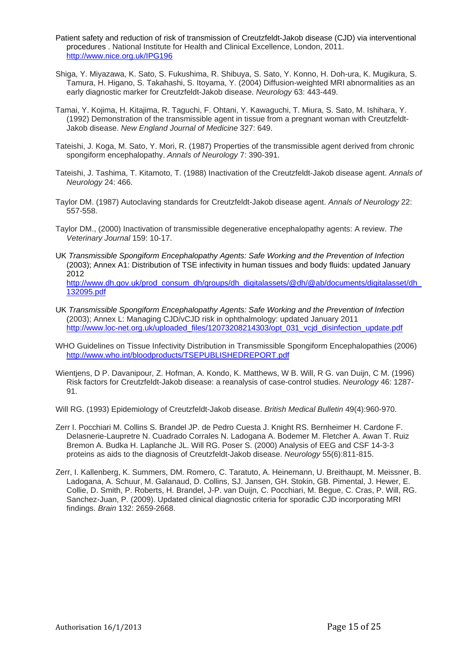- Patient safety and reduction of risk of transmission of Creutzfeldt-Jakob disease (CJD) via interventional procedures . National Institute for Health and Clinical Excellence, London, 2011. http://www.nice.org.uk/IPG196
- Shiga, Y. Miyazawa, K. Sato, S. Fukushima, R. Shibuya, S. Sato, Y. Konno, H. Doh-ura, K. Mugikura, S. Tamura, H. Higano, S. Takahashi, S. Itoyama, Y. (2004) Diffusion-weighted MRI abnormalities as an early diagnostic marker for Creutzfeldt-Jakob disease. *Neurology* 63: 443-449.
- Tamai, Y. Kojima, H. Kitajima, R. Taguchi, F. Ohtani, Y. Kawaguchi, T. Miura, S. Sato, M. Ishihara, Y. (1992) Demonstration of the transmissible agent in tissue from a pregnant woman with Creutzfeldt-Jakob disease. *New England Journal of Medicine* 327: 649.
- Tateishi, J. Koga, M. Sato, Y. Mori, R. (1987) Properties of the transmissible agent derived from chronic spongiform encephalopathy. *Annals of Neurology* 7: 390-391.
- Tateishi, J. Tashima, T. Kitamoto, T. (1988) Inactivation of the Creutzfeldt-Jakob disease agent. *Annals of Neurology* 24: 466.
- Taylor DM. (1987) Autoclaving standards for Creutzfeldt-Jakob disease agent. *Annals of Neurology* 22: 557-558.
- Taylor DM., (2000) Inactivation of transmissible degenerative encephalopathy agents: A review. *The Veterinary Journal* 159: 10-17.
- UK *Transmissible Spongiform Encephalopathy Agents: Safe Working and the Prevention of Infection* (2003); Annex A1: Distribution of TSE infectivity in human tissues and body fluids: updated January 2012

http://www.dh.gov.uk/prod\_consum\_dh/groups/dh\_digitalassets/@dh/@ab/documents/digitalasset/dh 132095.pdf

- UK *Transmissible Spongiform Encephalopathy Agents: Safe Working and the Prevention of Infection* (2003); Annex L: Managing CJD/vCJD risk in ophthalmology: updated January 2011 http://www.loc-net.org.uk/uploaded\_files/12073208214303/opt\_031\_vcjd\_disinfection\_update.pdf
- WHO Guidelines on Tissue Infectivity Distribution in Transmissible Spongiform Encephalopathies (2006) http://www.who.int/bloodproducts/TSEPUBLISHEDREPORT.pdf
- Wientjens, D P. Davanipour, Z. Hofman, A. Kondo, K. Matthews, W B. Will, R G. van Duijn, C M. (1996) Risk factors for Creutzfeldt-Jakob disease: a reanalysis of case-control studies. *Neurology* 46: 1287- 91.
- Will RG. (1993) Epidemiology of Creutzfeldt-Jakob disease. *British Medical Bulletin* 49(4):960-970.
- Zerr I. Pocchiari M. Collins S. Brandel JP. de Pedro Cuesta J. Knight RS. Bernheimer H. Cardone F. Delasnerie-Laupretre N. Cuadrado Corrales N. Ladogana A. Bodemer M. Fletcher A. Awan T. Ruiz Bremon A. Budka H. Laplanche JL. Will RG. Poser S. (2000) Analysis of EEG and CSF 14-3-3 proteins as aids to the diagnosis of Creutzfeldt-Jakob disease. *Neurology* 55(6):811-815.
- Zerr, I. Kallenberg, K. Summers, DM. Romero, C. Taratuto, A. Heinemann, U. Breithaupt, M. Meissner, B. Ladogana, A. Schuur, M. Galanaud, D. Collins, SJ. Jansen, GH. Stokin, GB. Pimental, J. Hewer, E. Collie, D. Smith, P. Roberts, H. Brandel, J-P. van Duijn, C. Pocchiari, M. Begue, C. Cras, P. Will, RG. Sanchez-Juan, P. (2009). Updated clinical diagnostic criteria for sporadic CJD incorporating MRI findings. *Brain* 132: 2659-2668.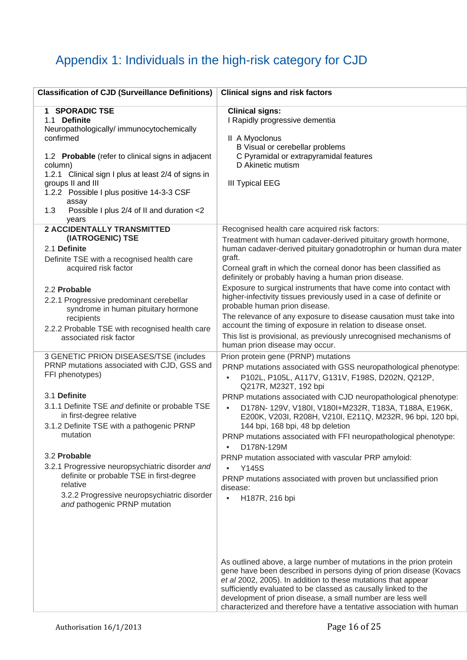# Appendix 1: Individuals in the high-risk category for CJD

| <b>Classification of CJD (Surveillance Definitions)</b>                                                                                                                                                                                                                                                                                                                                                                                                                                              | <b>Clinical signs and risk factors</b>                                                                                                                                                                                                                                                                                                                                                                                                                                                                                                                                                                                                                                                                                                                                     |
|------------------------------------------------------------------------------------------------------------------------------------------------------------------------------------------------------------------------------------------------------------------------------------------------------------------------------------------------------------------------------------------------------------------------------------------------------------------------------------------------------|----------------------------------------------------------------------------------------------------------------------------------------------------------------------------------------------------------------------------------------------------------------------------------------------------------------------------------------------------------------------------------------------------------------------------------------------------------------------------------------------------------------------------------------------------------------------------------------------------------------------------------------------------------------------------------------------------------------------------------------------------------------------------|
| 1 SPORADIC TSE<br>1.1 Definite<br>Neuropathologically/immunocytochemically<br>confirmed<br>1.2 Probable (refer to clinical signs in adjacent<br>column)<br>1.2.1 Clinical sign I plus at least 2/4 of signs in<br>groups II and III<br>1.2.2 Possible I plus positive 14-3-3 CSF<br>assay<br>Possible I plus 2/4 of II and duration <2<br>1.3<br>years                                                                                                                                               | <b>Clinical signs:</b><br>I Rapidly progressive dementia<br>II A Myoclonus<br>B Visual or cerebellar problems<br>C Pyramidal or extrapyramidal features<br>D Akinetic mutism<br><b>III Typical EEG</b>                                                                                                                                                                                                                                                                                                                                                                                                                                                                                                                                                                     |
| <b>2 ACCIDENTALLY TRANSMITTED</b><br>(IATROGENIC) TSE<br>2.1 Definite<br>Definite TSE with a recognised health care<br>acquired risk factor<br>2.2 Probable<br>2.2.1 Progressive predominant cerebellar<br>syndrome in human pituitary hormone<br>recipients<br>2.2.2 Probable TSE with recognised health care                                                                                                                                                                                       | Recognised health care acquired risk factors:<br>Treatment with human cadaver-derived pituitary growth hormone,<br>human cadaver-derived pituitary gonadotrophin or human dura mater<br>graft.<br>Corneal graft in which the corneal donor has been classified as<br>definitely or probably having a human prion disease.<br>Exposure to surgical instruments that have come into contact with<br>higher-infectivity tissues previously used in a case of definite or<br>probable human prion disease.<br>The relevance of any exposure to disease causation must take into<br>account the timing of exposure in relation to disease onset.<br>This list is provisional, as previously unrecognised mechanisms of                                                          |
| associated risk factor<br>3 GENETIC PRION DISEASES/TSE (includes<br>PRNP mutations associated with CJD, GSS and<br>FFI phenotypes)<br>3.1 Definite<br>3.1.1 Definite TSE and definite or probable TSE<br>in first-degree relative<br>3.1.2 Definite TSE with a pathogenic PRNP<br>mutation<br>3.2 Probable<br>3.2.1 Progressive neuropsychiatric disorder and<br>definite or probable TSE in first-degree<br>relative<br>3.2.2 Progressive neuropsychiatric disorder<br>and pathogenic PRNP mutation | human prion disease may occur.<br>Prion protein gene (PRNP) mutations<br>PRNP mutations associated with GSS neuropathological phenotype:<br>P102L, P105L, A117V, G131V, F198S, D202N, Q212P,<br>$\bullet$<br>Q217R, M232T, 192 bpi<br>PRNP mutations associated with CJD neuropathological phenotype:<br>D178N- 129V, V180I, V180I+M232R, T183A, T188A, E196K,<br>$\bullet$<br>E200K, V203I, R208H, V210I, E211Q, M232R, 96 bpi, 120 bpi,<br>144 bpi, 168 bpi, 48 bp deletion<br>PRNP mutations associated with FFI neuropathological phenotype:<br>D178N-129M<br>$\bullet$<br>PRNP mutation associated with vascular PRP amyloid:<br><b>Y145S</b><br>$\bullet$<br>PRNP mutations associated with proven but unclassified prion<br>disease:<br>H187R, 216 bpi<br>$\bullet$ |
|                                                                                                                                                                                                                                                                                                                                                                                                                                                                                                      | As outlined above, a large number of mutations in the prion protein<br>gene have been described in persons dying of prion disease (Kovacs<br>et al 2002, 2005). In addition to these mutations that appear<br>sufficiently evaluated to be classed as causally linked to the<br>development of prion disease, a small number are less well<br>characterized and therefore have a tentative association with human                                                                                                                                                                                                                                                                                                                                                          |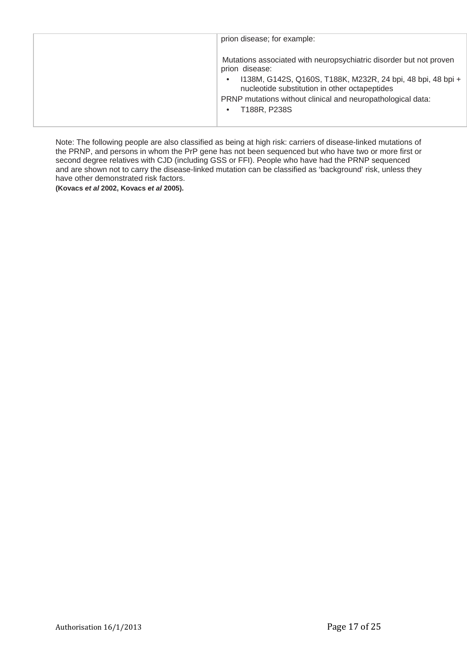| prion disease; for example:                                                                                                                                                                                                                                                         |
|-------------------------------------------------------------------------------------------------------------------------------------------------------------------------------------------------------------------------------------------------------------------------------------|
| Mutations associated with neuropsychiatric disorder but not proven<br>prion disease:<br>1138M, G142S, Q160S, T188K, M232R, 24 bpi, 48 bpi, 48 bpi +<br>nucleotide substitution in other octapeptides<br>PRNP mutations without clinical and neuropathological data:<br>T188R, P238S |

Note: The following people are also classified as being at high risk: carriers of disease-linked mutations of the PRNP, and persons in whom the PrP gene has not been sequenced but who have two or more first or second degree relatives with CJD (including GSS or FFI). People who have had the PRNP sequenced and are shown not to carry the disease-linked mutation can be classified as 'background' risk, unless they have other demonstrated risk factors.

**(Kovacs** *et al* **2002, Kovacs** *et al* **2005).**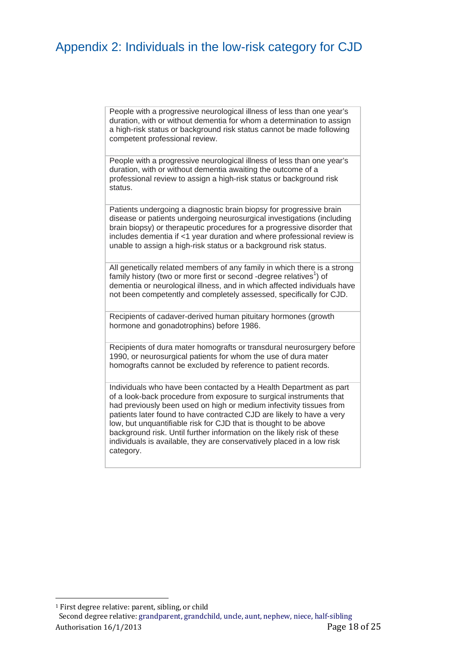## Appendix 2: Individuals in the low-risk category for CJD

People with a progressive neurological illness of less than one year's duration, with or without dementia for whom a determination to assign a high-risk status or background risk status cannot be made following competent professional review.

People with a progressive neurological illness of less than one year's duration, with or without dementia awaiting the outcome of a professional review to assign a high-risk status or background risk status.

Patients undergoing a diagnostic brain biopsy for progressive brain disease or patients undergoing neurosurgical investigations (including brain biopsy) or therapeutic procedures for a progressive disorder that includes dementia if <1 year duration and where professional review is unable to assign a high-risk status or a background risk status.

All genetically related members of any family in which there is a strong family history (two or more first or second -degree relatives<sup>1</sup>) of dementia or neurological illness, and in which affected individuals have not been competently and completely assessed, specifically for CJD.

Recipients of cadaver-derived human pituitary hormones (growth hormone and gonadotrophins) before 1986.

Recipients of dura mater homografts or transdural neurosurgery before 1990, or neurosurgical patients for whom the use of dura mater homografts cannot be excluded by reference to patient records.

Individuals who have been contacted by a Health Department as part of a look-back procedure from exposure to surgical instruments that had previously been used on high or medium infectivity tissues from patients later found to have contracted CJD are likely to have a very low, but unquantifiable risk for CJD that is thought to be above background risk. Until further information on the likely risk of these individuals is available, they are conservatively placed in a low risk category.

 $1$  First degree relative: parent, sibling, or child

 

Authorisation 16/1/2013 **But a Contract Contract Contract Contract Contract Contract Contract Contract Contract Contract Contract Contract Contract Contract Contract Contract Contract Contract Contract Contract Contract Co** Second degree relative: grandparent, grandchild, uncle, aunt, nephew, niece, half-sibling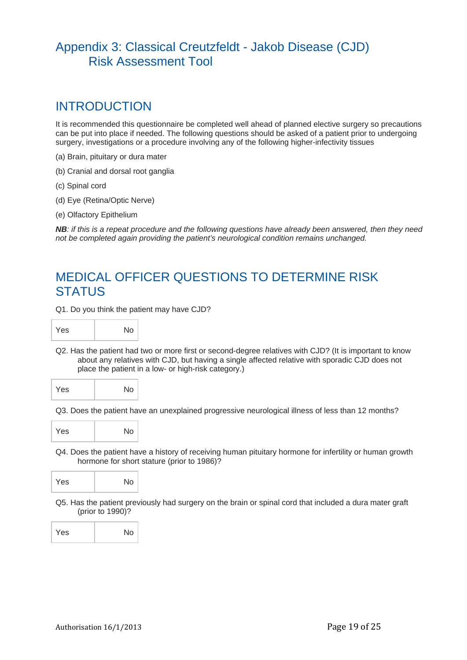## Appendix 3: Classical Creutzfeldt - Jakob Disease (CJD) Risk Assessment Tool

## INTRODUCTION

It is recommended this questionnaire be completed well ahead of planned elective surgery so precautions can be put into place if needed. The following questions should be asked of a patient prior to undergoing surgery, investigations or a procedure involving any of the following higher-infectivity tissues

- (a) Brain, pituitary or dura mater
- (b) Cranial and dorsal root ganglia
- (c) Spinal cord
- (d) Eye (Retina/Optic Nerve)
- (e) Olfactory Epithelium

*NB: if this is a repeat procedure and the following questions have already been answered, then they need not be completed again providing the patient's neurological condition remains unchanged.*

## MEDICAL OFFICER QUESTIONS TO DETERMINE RISK **STATUS**

Q1. Do you think the patient may have CJD?



Q2. Has the patient had two or more first or second-degree relatives with CJD? (It is important to know about any relatives with CJD, but having a single affected relative with sporadic CJD does not place the patient in a low- or high-risk category.)



Q3. Does the patient have an unexplained progressive neurological illness of less than 12 months?



Q4. Does the patient have a history of receiving human pituitary hormone for infertility or human growth hormone for short stature (prior to 1986)?



Q5. Has the patient previously had surgery on the brain or spinal cord that included a dura mater graft (prior to 1990)?

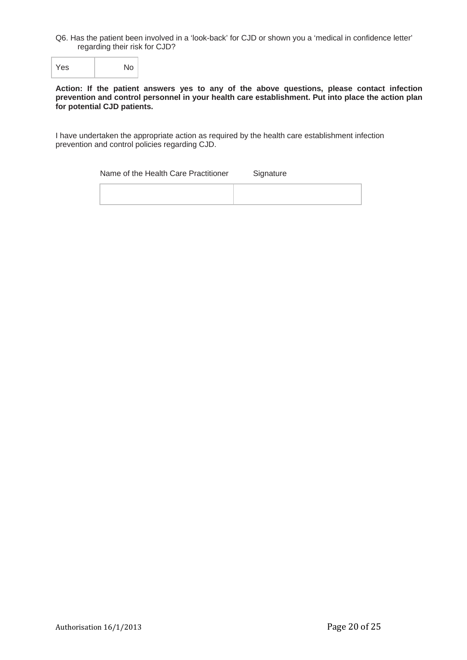Q6. Has the patient been involved in a 'look-back' for CJD or shown you a 'medical in confidence letter' regarding their risk for CJD?

Yes No

#### **Action: If the patient answers yes to any of the above questions, please contact infection prevention and control personnel in your health care establishment. Put into place the action plan for potential CJD patients.**

I have undertaken the appropriate action as required by the health care establishment infection prevention and control policies regarding CJD.

Name of the Health Care Practitioner Signature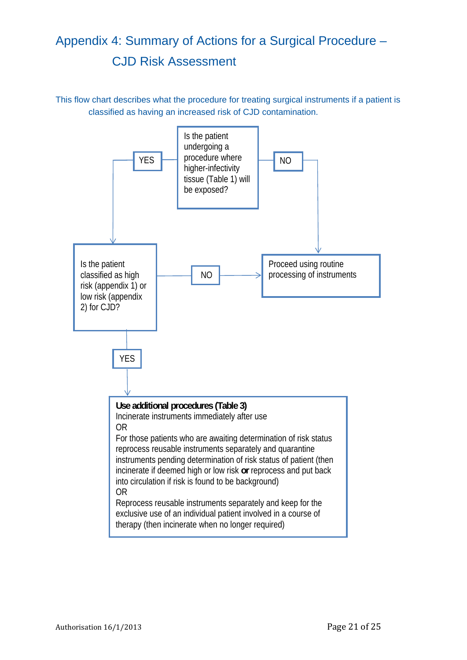# Appendix 4: Summary of Actions for a Surgical Procedure – CJD Risk Assessment

This flow chart describes what the procedure for treating surgical instruments if a patient is classified as having an increased risk of CJD contamination.

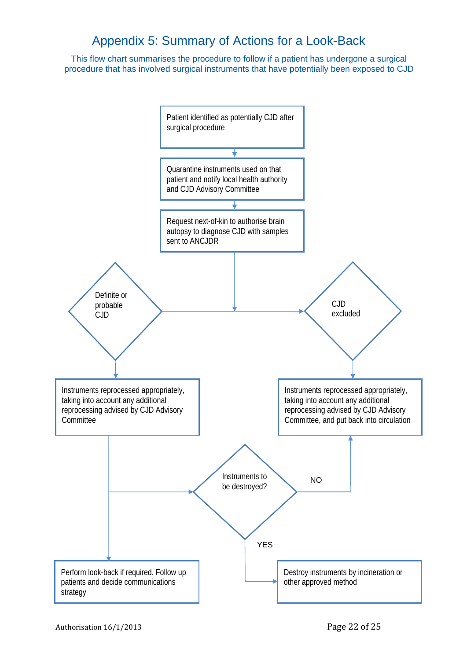## Appendix 5: Summary of Actions for a Look-Back

This flow chart summarises the procedure to follow if a patient has undergone a surgical procedure that has involved surgical instruments that have potentially been exposed to CJD

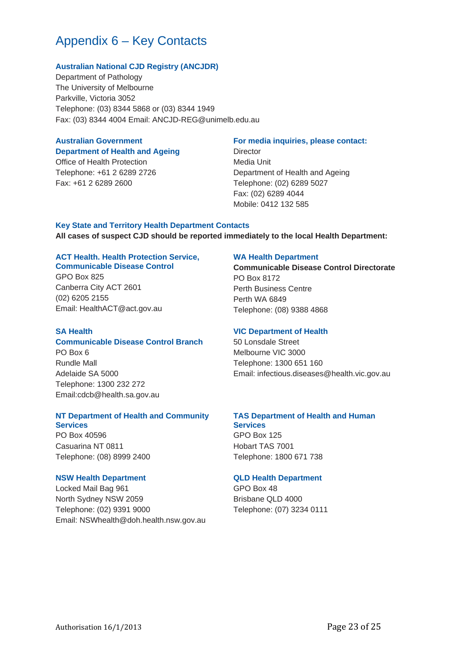## Appendix 6 – Key Contacts

#### **Australian National CJD Registry (ANCJDR)**

Department of Pathology The University of Melbourne Parkville, Victoria 3052 Telephone: (03) 8344 5868 or (03) 8344 1949 Fax: (03) 8344 4004 Email: ANCJD-REG@unimelb.edu.au

### **Australian Government**

## **Department of Health and Ageing**

Office of Health Protection Telephone: +61 2 6289 2726 Fax: +61 2 6289 2600

#### **For media inquiries, please contact:**

**Director** Media Unit Department of Health and Ageing Telephone: (02) 6289 5027 Fax: (02) 6289 4044 Mobile: 0412 132 585

## **Key State and Territory Health Department Contacts All cases of suspect CJD should be reported immediately to the local Health Department:**

#### **ACT Health. Health Protection Service, Communicable Disease Control**

GPO Box 825 Canberra City ACT 2601 (02) 6205 2155 Email: HealthACT@act.gov.au

#### **SA Health**

### **Communicable Disease Control Branch**

PO Box 6 Rundle Mall Adelaide SA 5000 Telephone: 1300 232 272 Email:cdcb@health.sa.gov.au

#### **NT Department of Health and Community Services**

PO Box 40596 Casuarina NT 0811 Telephone: (08) 8999 2400

#### **NSW Health Department**

Locked Mail Bag 961 North Sydney NSW 2059 Telephone: (02) 9391 9000 Email: NSWhealth@doh.health.nsw.gov.au

#### **WA Health Department**

**Communicable Disease Control Directorate**  PO Box 8172 Perth Business Centre Perth WA 6849 Telephone: (08) 9388 4868

#### **VIC Department of Health**

50 Lonsdale Street Melbourne VIC 3000 Telephone: 1300 651 160 Email: infectious.diseases@health.vic.gov.au

## **TAS Department of Health and Human**

**Services** GPO Box 125 Hobart TAS 7001 Telephone: 1800 671 738

#### **QLD Health Department**

GPO Box 48 Brisbane QLD 4000 Telephone: (07) 3234 0111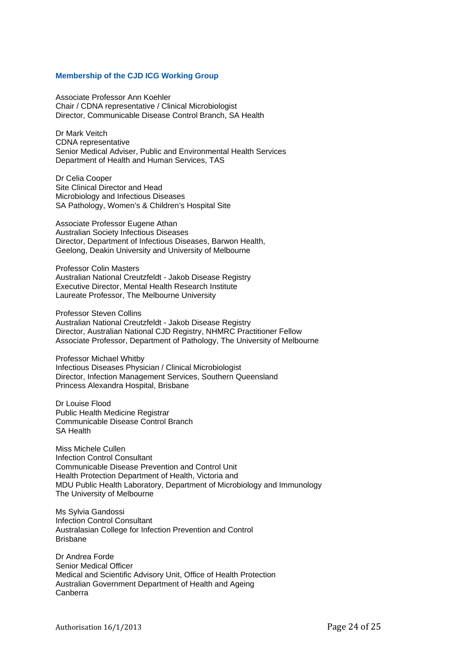#### **Membership of the CJD ICG Working Group**

Associate Professor Ann Koehler Chair / CDNA representative / Clinical Microbiologist Director, Communicable Disease Control Branch, SA Health

Dr Mark Veitch CDNA representative Senior Medical Adviser, Public and Environmental Health Services Department of Health and Human Services, TAS

Dr Celia Cooper Site Clinical Director and Head Microbiology and Infectious Diseases SA Pathology, Women's & Children's Hospital Site

Associate Professor Eugene Athan Australian Society Infectious Diseases Director, Department of Infectious Diseases, Barwon Health, Geelong, Deakin University and University of Melbourne

Professor Colin Masters Australian National Creutzfeldt - Jakob Disease Registry Executive Director, Mental Health Research Institute Laureate Professor, The Melbourne University

Professor Steven Collins Australian National Creutzfeldt - Jakob Disease Registry Director, Australian National CJD Registry, NHMRC Practitioner Fellow Associate Professor, Department of Pathology, The University of Melbourne

Professor Michael Whitby Infectious Diseases Physician / Clinical Microbiologist Director, Infection Management Services, Southern Queensland Princess Alexandra Hospital, Brisbane

Dr Louise Flood Public Health Medicine Registrar Communicable Disease Control Branch SA Health

Miss Michele Cullen Infection Control Consultant Communicable Disease Prevention and Control Unit Health Protection Department of Health, Victoria and MDU Public Health Laboratory, Department of Microbiology and Immunology The University of Melbourne

Ms Sylvia Gandossi Infection Control Consultant Australasian College for Infection Prevention and Control Brisbane

Dr Andrea Forde Senior Medical Officer Medical and Scientific Advisory Unit, Office of Health Protection Australian Government Department of Health and Ageing Canberra